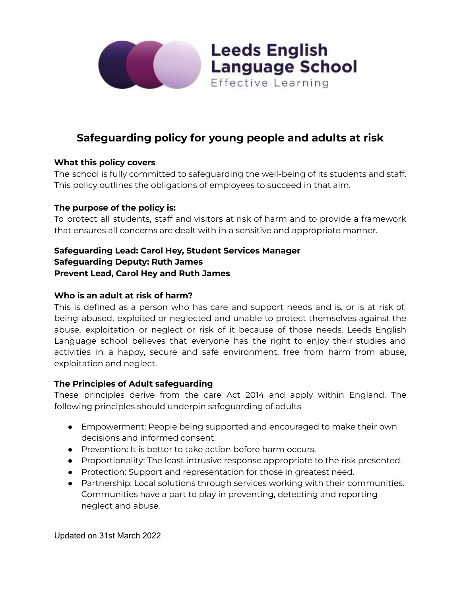

# **Safeguarding policy for young people and adults at risk**

**Leeds English** 

Effective Learning

**Language School** 

### **What this policy covers**

The school is fully committed to safeguarding the well-being of its students and staff. This policy outlines the obligations of employees to succeed in that aim.

### **The purpose of the policy is:**

To protect all students, staff and visitors at risk of harm and to provide a framework that ensures all concerns are dealt with in a sensitive and appropriate manner.

# **Safeguarding Lead: Carol Hey, Student Services Manager Safeguarding Deputy: Ruth James Prevent Lead, Carol Hey and Ruth James**

### **Who is an adult at risk of harm?**

This is defined as a person who has care and support needs and is, or is at risk of, being abused, exploited or neglected and unable to protect themselves against the abuse, exploitation or neglect or risk of it because of those needs. Leeds English Language school believes that everyone has the right to enjoy their studies and activities in a happy, secure and safe environment, free from harm from abuse, exploitation and neglect.

#### **The Principles of Adult safeguarding**

These principles derive from the care Act 2014 and apply within England. The following principles should underpin safeguarding of adults

- Empowerment: People being supported and encouraged to make their own decisions and informed consent.
- Prevention: It is better to take action before harm occurs.
- Proportionality: The least intrusive response appropriate to the risk presented.
- Protection: Support and representation for those in greatest need.
- Partnership: Local solutions through services working with their communities. Communities have a part to play in preventing, detecting and reporting neglect and abuse.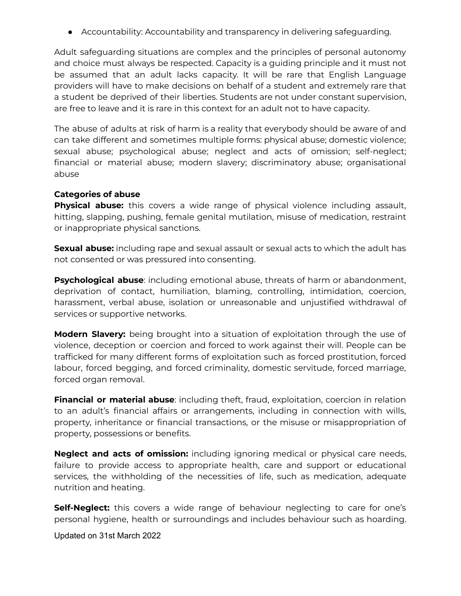● Accountability: Accountability and transparency in delivering safeguarding.

Adult safeguarding situations are complex and the principles of personal autonomy and choice must always be respected. Capacity is a guiding principle and it must not be assumed that an adult lacks capacity. It will be rare that English Language providers will have to make decisions on behalf of a student and extremely rare that a student be deprived of their liberties. Students are not under constant supervision, are free to leave and it is rare in this context for an adult not to have capacity.

The abuse of adults at risk of harm is a reality that everybody should be aware of and can take different and sometimes multiple forms: physical abuse; domestic violence; sexual abuse; psychological abuse; neglect and acts of omission; self-neglect; financial or material abuse; modern slavery; discriminatory abuse; organisational abuse

# **Categories of abuse**

**Physical abuse:** this covers a wide range of physical violence including assault, hitting, slapping, pushing, female genital mutilation, misuse of medication, restraint or inappropriate physical sanctions.

**Sexual abuse:** including rape and sexual assault or sexual acts to which the adult has not consented or was pressured into consenting.

**Psychological abuse**: including emotional abuse, threats of harm or abandonment, deprivation of contact, humiliation, blaming, controlling, intimidation, coercion, harassment, verbal abuse, isolation or unreasonable and unjustified withdrawal of services or supportive networks.

**Modern Slavery:** being brought into a situation of exploitation through the use of violence, deception or coercion and forced to work against their will. People can be trafficked for many different forms of exploitation such as forced prostitution, forced labour, forced begging, and forced criminality, domestic servitude, forced marriage, forced organ removal.

**Financial or material abuse**: including theft, fraud, exploitation, coercion in relation to an adult's financial affairs or arrangements, including in connection with wills, property, inheritance or financial transactions, or the misuse or misappropriation of property, possessions or benefits.

**Neglect and acts of omission:** including ignoring medical or physical care needs, failure to provide access to appropriate health, care and support or educational services, the withholding of the necessities of life, such as medication, adequate nutrition and heating.

**Self-Neglect:** this covers a wide range of behaviour neglecting to care for one's personal hygiene, health or surroundings and includes behaviour such as hoarding.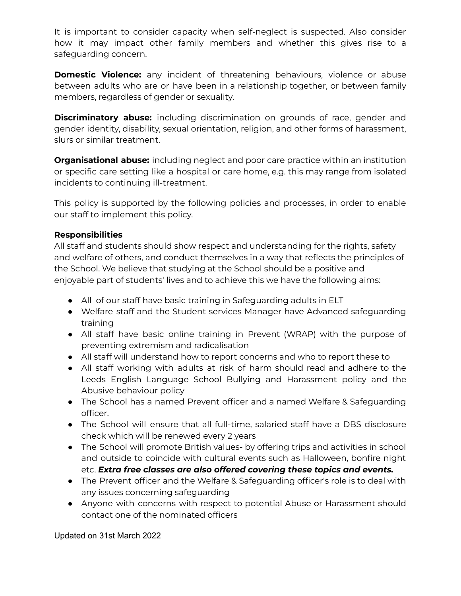It is important to consider capacity when self-neglect is suspected. Also consider how it may impact other family members and whether this gives rise to a safeguarding concern.

**Domestic Violence:** any incident of threatening behaviours, violence or abuse between adults who are or have been in a relationship together, or between family members, regardless of gender or sexuality.

**Discriminatory abuse:** including discrimination on grounds of race, gender and gender identity, disability, sexual orientation, religion, and other forms of harassment, slurs or similar treatment.

**Organisational abuse:** including neglect and poor care practice within an institution or specific care setting like a hospital or care home, e.g. this may range from isolated incidents to continuing ill-treatment.

This policy is supported by the following policies and processes, in order to enable our staff to implement this policy.

# **Responsibilities**

All staff and students should show respect and understanding for the rights, safety and welfare of others, and conduct themselves in a way that reflects the principles of the School. We believe that studying at the School should be a positive and enjoyable part of students' lives and to achieve this we have the following aims:

- All of our staff have basic training in Safeguarding adults in ELT
- Welfare staff and the Student services Manager have Advanced safeguarding training
- All staff have basic online training in Prevent (WRAP) with the purpose of preventing extremism and radicalisation
- All staff will understand how to report concerns and who to report these to
- All staff working with adults at risk of harm should read and adhere to the Leeds English Language School Bullying and Harassment policy and the Abusive behaviour policy
- The School has a named Prevent officer and a named Welfare & Safeguarding officer.
- The School will ensure that all full-time, salaried staff have a DBS disclosure check which will be renewed every 2 years
- The School will promote British values- by offering trips and activities in school and outside to coincide with cultural events such as Halloween, bonfire night etc. *Extra free classes are also offered covering these topics and events.*
- The Prevent officer and the Welfare & Safeguarding officer's role is to deal with any issues concerning safeguarding
- Anyone with concerns with respect to potential Abuse or Harassment should contact one of the nominated officers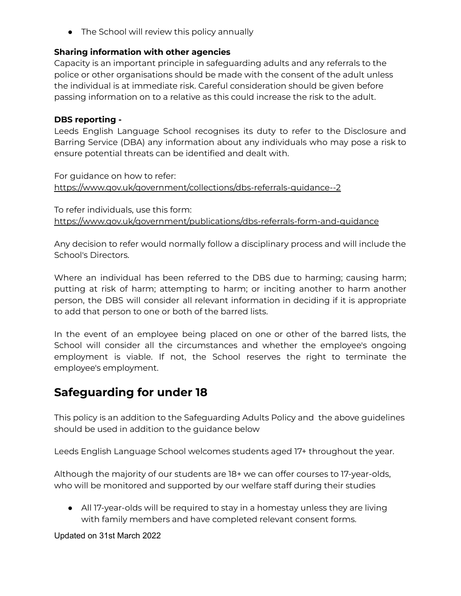• The School will review this policy annually

## **Sharing information with other agencies**

Capacity is an important principle in safeguarding adults and any referrals to the police or other organisations should be made with the consent of the adult unless the individual is at immediate risk. Careful consideration should be given before passing information on to a relative as this could increase the risk to the adult.

## **DBS reporting -**

Leeds English Language School recognises its duty to refer to the Disclosure and Barring Service (DBA) any information about any individuals who may pose a risk to ensure potential threats can be identified and dealt with.

For guidance on how to refer: <https://www.gov.uk/government/collections/dbs-referrals-guidance--2>

To refer individuals, use this form: <https://www.gov.uk/government/publications/dbs-referrals-form-and-guidance>

Any decision to refer would normally follow a disciplinary process and will include the School's Directors.

Where an individual has been referred to the DBS due to harming; causing harm; putting at risk of harm; attempting to harm; or inciting another to harm another person, the DBS will consider all relevant information in deciding if it is appropriate to add that person to one or both of the barred lists.

In the event of an employee being placed on one or other of the barred lists, the School will consider all the circumstances and whether the employee's ongoing employment is viable. If not, the School reserves the right to terminate the employee's employment.

# **Safeguarding for under 18**

This policy is an addition to the Safeguarding Adults Policy and the above guidelines should be used in addition to the guidance below

Leeds English Language School welcomes students aged 17+ throughout the year.

Although the majority of our students are 18+ we can offer courses to 17-year-olds, who will be monitored and supported by our welfare staff during their studies

● All 17-year-olds will be required to stay in a homestay unless they are living with family members and have completed relevant consent forms.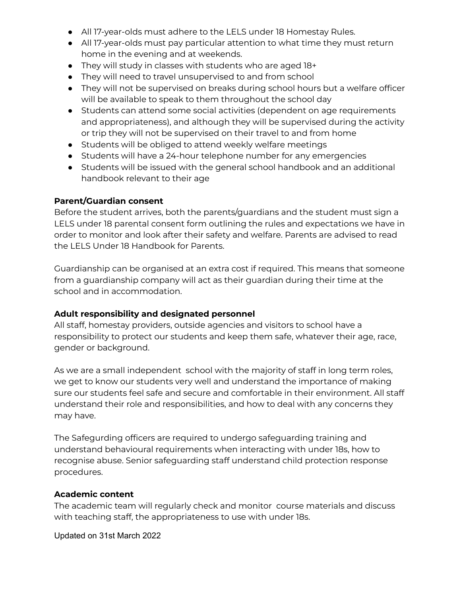- All 17-year-olds must adhere to the LELS under 18 Homestay Rules.
- All 17-year-olds must pay particular attention to what time they must return home in the evening and at weekends.
- They will study in classes with students who are aged 18+
- They will need to travel unsupervised to and from school
- They will not be supervised on breaks during school hours but a welfare officer will be available to speak to them throughout the school day
- Students can attend some social activities (dependent on age requirements and appropriateness), and although they will be supervised during the activity or trip they will not be supervised on their travel to and from home
- Students will be obliged to attend weekly welfare meetings
- Students will have a 24-hour telephone number for any emergencies
- Students will be issued with the general school handbook and an additional handbook relevant to their age

### **Parent/Guardian consent**

Before the student arrives, both the parents/guardians and the student must sign a LELS under 18 parental consent form outlining the rules and expectations we have in order to monitor and look after their safety and welfare. Parents are advised to read the LELS Under 18 Handbook for Parents.

Guardianship can be organised at an extra cost if required. This means that someone from a guardianship company will act as their guardian during their time at the school and in accommodation.

## **Adult responsibility and designated personnel**

All staff, homestay providers, outside agencies and visitors to school have a responsibility to protect our students and keep them safe, whatever their age, race, gender or background.

As we are a small independent school with the majority of staff in long term roles, we get to know our students very well and understand the importance of making sure our students feel safe and secure and comfortable in their environment. All staff understand their role and responsibilities, and how to deal with any concerns they may have.

The Safegurding officers are required to undergo safeguarding training and understand behavioural requirements when interacting with under 18s, how to recognise abuse. Senior safeguarding staff understand child protection response procedures.

## **Academic content**

The academic team will regularly check and monitor course materials and discuss with teaching staff, the appropriateness to use with under 18s.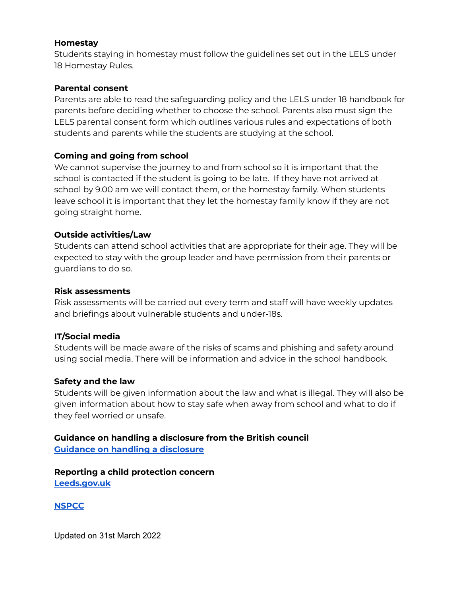#### **Homestay**

Students staying in homestay must follow the guidelines set out in the LELS under 18 Homestay Rules.

### **Parental consent**

Parents are able to read the safeguarding policy and the LELS under 18 handbook for parents before deciding whether to choose the school. Parents also must sign the LELS parental consent form which outlines various rules and expectations of both students and parents while the students are studying at the school.

# **Coming and going from school**

We cannot supervise the journey to and from school so it is important that the school is contacted if the student is going to be late. If they have not arrived at school by 9.00 am we will contact them, or the homestay family. When students leave school it is important that they let the homestay family know if they are not going straight home.

## **Outside activities/Law**

Students can attend school activities that are appropriate for their age. They will be expected to stay with the group leader and have permission from their parents or guardians to do so.

### **Risk assessments**

Risk assessments will be carried out every term and staff will have weekly updates and briefings about vulnerable students and under-18s.

## **IT/Social media**

Students will be made aware of the risks of scams and phishing and safety around using social media. There will be information and advice in the school handbook.

## **Safety and the law**

Students will be given information about the law and what is illegal. They will also be given information about how to stay safe when away from school and what to do if they feel worried or unsafe.

### **Guidance on handling a disclosure from the British council Guidance on handling a [disclosure](https://www.britishcouncil.org/sites/default/files/handling_disclosure_from_a_child_0.pdf)**

**Reporting a child protection concern [Leeds.gov.uk](https://www.leeds.gov.uk/children-and-families/keeping-children-safe/report-a-child-protection-concern)**

## **[NSPCC](https://www.nspcc.org.uk/)**